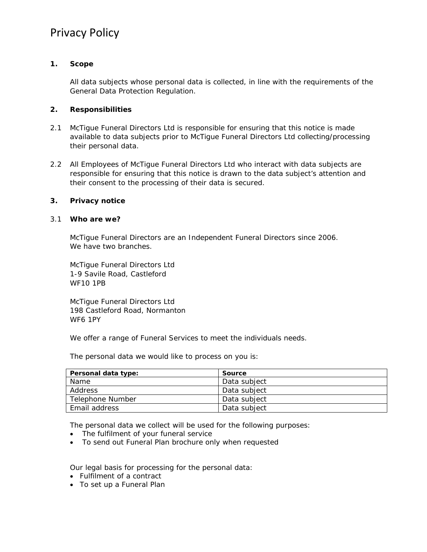# Privacy Policy

# **1. Scope**

All data subjects whose personal data is collected, in line with the requirements of the General Data Protection Regulation.

## **2. Responsibilities**

- 2.1 McTigue Funeral Directors Ltd is responsible for ensuring that this notice is made available to data subjects prior to McTigue Funeral Directors Ltd collecting/processing their personal data.
- 2.2 All Employees of McTigue Funeral Directors Ltd who interact with data subjects are responsible for ensuring that this notice is drawn to the data subject's attention and their consent to the processing of their data is secured.

### **3. Privacy notice**

### 3.1 **Who are we?**

McTigue Funeral Directors are an Independent Funeral Directors since 2006. We have two branches.

McTigue Funeral Directors Ltd 1-9 Savile Road, Castleford WF10 1PB

McTigue Funeral Directors Ltd 198 Castleford Road, Normanton WF6 1PY

We offer a range of Funeral Services to meet the individuals needs.

The personal data we would like to process on you is:

| Personal data type: | Source       |
|---------------------|--------------|
| Name                | Data subject |
| Address             | Data subject |
| Telephone Number    | Data subject |
| Email address       | Data subject |

The personal data we collect will be used for the following purposes:

- The fulfilment of your funeral service
- To send out Funeral Plan brochure only when requested

Our legal basis for processing for the personal data:

- Fulfilment of a contract
- To set up a Funeral Plan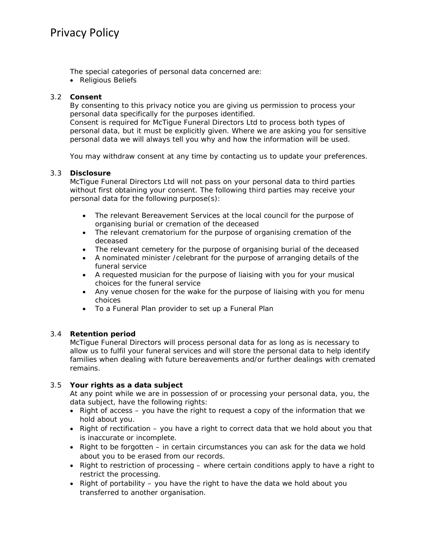The special categories of personal data concerned are:

Religious Beliefs

# 3.2 **Consent**

By consenting to this privacy notice you are giving us permission to process your personal data specifically for the purposes identified.

Consent is required for McTigue Funeral Directors Ltd to process both types of personal data, but it must be explicitly given. Where we are asking you for sensitive personal data we will always tell you why and how the information will be used.

You may withdraw consent at any time by contacting us to update your preferences.

# 3.3 **Disclosure**

McTigue Funeral Directors Ltd will not pass on your personal data to third parties without first obtaining your consent. The following third parties may receive your personal data for the following purpose(s):

- The relevant Bereavement Services at the local council for the purpose of organising burial or cremation of the deceased
- The relevant crematorium for the purpose of organising cremation of the deceased
- The relevant cemetery for the purpose of organising burial of the deceased
- A nominated minister /celebrant for the purpose of arranging details of the funeral service
- A requested musician for the purpose of liaising with you for your musical choices for the funeral service
- Any venue chosen for the wake for the purpose of liaising with you for menu choices
- To a Funeral Plan provider to set up a Funeral Plan

# 3.4 **Retention period**

McTigue Funeral Directors will process personal data for as long as is necessary to allow us to fulfil your funeral services and will store the personal data to help identify families when dealing with future bereavements and/or further dealings with cremated remains.

# 3.5 **Your rights as a data subject**

At any point while we are in possession of or processing your personal data, you, the data subject, have the following rights:

- Right of access you have the right to request a copy of the information that we hold about you.
- Right of rectification you have a right to correct data that we hold about you that is inaccurate or incomplete.
- Right to be forgotten in certain circumstances you can ask for the data we hold about you to be erased from our records.
- Right to restriction of processing where certain conditions apply to have a right to restrict the processing.
- Right of portability you have the right to have the data we hold about you transferred to another organisation.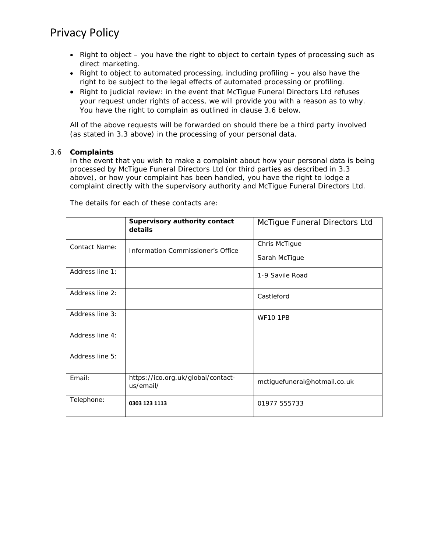# Privacy Policy

- $\bullet$  Right to object you have the right to object to certain types of processing such as direct marketing.
- Right to object to automated processing, including profiling you also have the right to be subject to the legal effects of automated processing or profiling.
- Right to judicial review: in the event that McTigue Funeral Directors Ltd refuses your request under rights of access, we will provide you with a reason as to why. You have the right to complain as outlined in clause 3.6 below.

All of the above requests will be forwarded on should there be a third party involved (as stated in 3.3 above) in the processing of your personal data.

### 3.6 **Complaints**

In the event that you wish to make a complaint about how your personal data is being processed by McTigue Funeral Directors Ltd (or third parties as described in 3.3 above), or how your complaint has been handled, you have the right to lodge a complaint directly with the supervisory authority and McTigue Funeral Directors Ltd.

|                      | Supervisory authority contact<br>details        | McTigue Funeral Directors Ltd |
|----------------------|-------------------------------------------------|-------------------------------|
| <b>Contact Name:</b> | Information Commissioner's Office               | Chris McTigue                 |
|                      |                                                 | Sarah McTigue                 |
| Address line 1:      |                                                 | 1-9 Savile Road               |
| Address line 2:      |                                                 | Castleford                    |
| Address line 3:      |                                                 | <b>WF10 1PB</b>               |
| Address line 4:      |                                                 |                               |
| Address line 5:      |                                                 |                               |
| Email:               | https://ico.org.uk/global/contact-<br>us/email/ | mctiguefuneral@hotmail.co.uk  |
| Telephone:           | 0303 123 1113                                   | 01977 555733                  |

The details for each of these contacts are: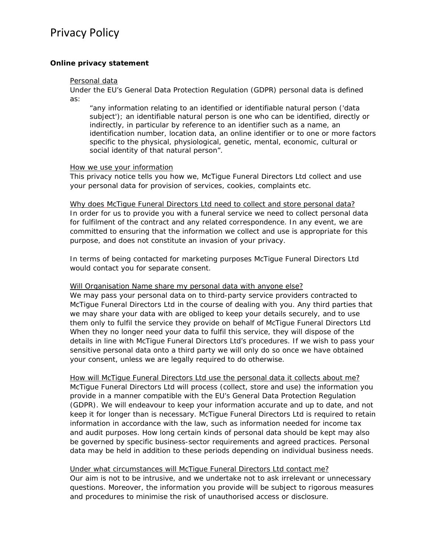# **Online privacy statement**

#### Personal data

Under the EU's General Data Protection Regulation (GDPR) personal data is defined as:

"any information relating to an identified or identifiable natural person ('data subject'); an identifiable natural person is one who can be identified, directly or indirectly, in particular by reference to an identifier such as a name, an identification number, location data, an online identifier or to one or more factors specific to the physical, physiological, genetic, mental, economic, cultural or social identity of that natural person".

### How we use your information

This privacy notice tells you how we, McTigue Funeral Directors Ltd collect and use your personal data for provision of services, cookies, complaints etc.

## Why does McTigue Funeral Directors Ltd need to collect and store personal data? In order for us to provide you with a funeral service we need to collect personal data for fulfilment of the contract and any related correspondence. In any event, we are committed to ensuring that the information we collect and use is appropriate for this purpose, and does not constitute an invasion of your privacy.

In terms of being contacted for marketing purposes McTigue Funeral Directors Ltd would contact you for separate consent.

### Will Organisation Name share my personal data with anyone else?

We may pass your personal data on to third-party service providers contracted to McTigue Funeral Directors Ltd in the course of dealing with you. Any third parties that we may share your data with are obliged to keep your details securely, and to use them only to fulfil the service they provide on behalf of McTigue Funeral Directors Ltd When they no longer need your data to fulfil this service, they will dispose of the details in line with McTigue Funeral Directors Ltd's procedures. If we wish to pass your sensitive personal data onto a third party we will only do so once we have obtained your consent, unless we are legally required to do otherwise.

How will McTigue Funeral Directors Ltd use the personal data it collects about me? McTigue Funeral Directors Ltd will process (collect, store and use) the information you provide in a manner compatible with the EU's General Data Protection Regulation (GDPR). We will endeavour to keep your information accurate and up to date, and not keep it for longer than is necessary. McTigue Funeral Directors Ltd is required to retain information in accordance with the law, such as information needed for income tax and audit purposes. How long certain kinds of personal data should be kept may also be governed by specific business-sector requirements and agreed practices. Personal data may be held in addition to these periods depending on individual business needs.

# Under what circumstances will McTigue Funeral Directors Ltd contact me?

Our aim is not to be intrusive, and we undertake not to ask irrelevant or unnecessary questions. Moreover, the information you provide will be subject to rigorous measures and procedures to minimise the risk of unauthorised access or disclosure.